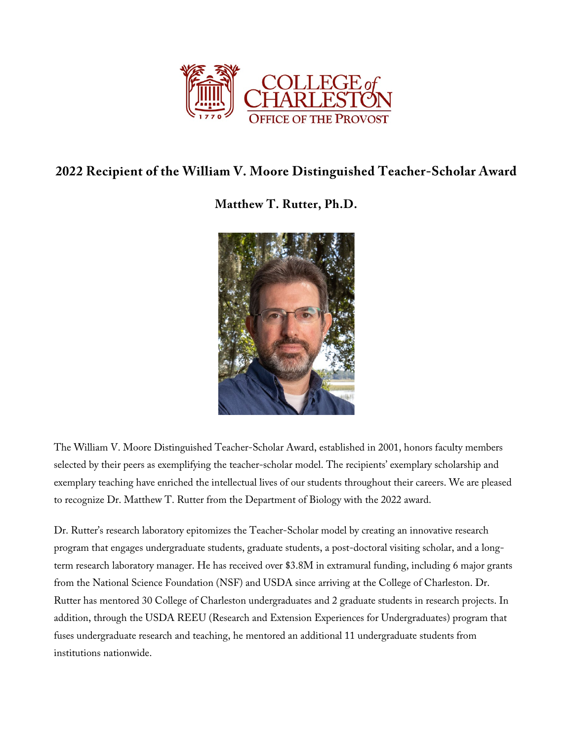

## **2022 Recipient of the William V. Moore Distinguished Teacher-Scholar Award**

## **Matthew T. Rutter, Ph.D.**



The William V. Moore Distinguished Teacher-Scholar Award, established in 2001, honors faculty members selected by their peers as exemplifying the teacher-scholar model. The recipients' exemplary scholarship and exemplary teaching have enriched the intellectual lives of our students throughout their careers. We are pleased to recognize Dr. Matthew T. Rutter from the Department of Biology with the 2022 award.

Dr. Rutter's research laboratory epitomizes the Teacher-Scholar model by creating an innovative research program that engages undergraduate students, graduate students, a post-doctoral visiting scholar, and a longterm research laboratory manager. He has received over \$3.8M in extramural funding, including 6 major grants from the National Science Foundation (NSF) and USDA since arriving at the College of Charleston. Dr. Rutter has mentored 30 College of Charleston undergraduates and 2 graduate students in research projects. In addition, through the USDA REEU (Research and Extension Experiences for Undergraduates) program that fuses undergraduate research and teaching, he mentored an additional 11 undergraduate students from institutions nationwide.